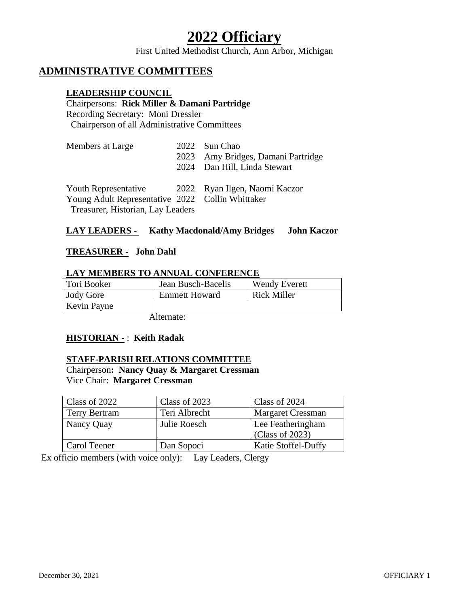# **2022 Officiary**

First United Methodist Church, Ann Arbor, Michigan

# **ADMINISTRATIVE COMMITTEES**

#### **LEADERSHIP COUNCIL**

# Chairpersons: **Rick Miller & Damani Partridge**

Recording Secretary: Moni Dressler Chairperson of all Administrative Committees

| Members at Large                                                                                                                            | 2023 | 2022 Sun Chao<br>Amy Bridges, Damani Partridge<br>2024 Dan Hill, Linda Stewart |
|---------------------------------------------------------------------------------------------------------------------------------------------|------|--------------------------------------------------------------------------------|
| Youth Representative 2022 Ryan Ilgen, Naomi Kaczor<br>Young Adult Representative 2022 Collin Whittaker<br>Treasurer, Historian, Lay Leaders |      |                                                                                |

### **LAY LEADERS - Kathy Macdonald/Amy Bridges John Kaczor**

#### **TREASURER - John Dahl**

#### **LAY MEMBERS TO ANNUAL CONFERENCE**

| Tori Booker      | Jean Busch-Bacelis   | <b>Wendy Everett</b> |
|------------------|----------------------|----------------------|
| <b>Jody Gore</b> | <b>Emmett Howard</b> | Rick Miller          |
| Kevin Payne      |                      |                      |

Alternate:

#### **HISTORIAN -** : **Keith Radak**

#### **STAFF-PARISH RELATIONS COMMITTEE**

Chairperson**: Nancy Quay & Margaret Cressman** Vice Chair: **Margaret Cressman** 

| Class of 2022        | Class of 2023 | Class of 2024              |
|----------------------|---------------|----------------------------|
| <b>Terry Bertram</b> | Teri Albrecht | <b>Margaret Cressman</b>   |
| Nancy Quay           | Julie Roesch  | Lee Featheringham          |
|                      |               | (Class of 2023)            |
| Carol Teener         | Dan Sopoci    | <b>Katie Stoffel-Duffy</b> |

Ex officio members (with voice only): Lay Leaders, Clergy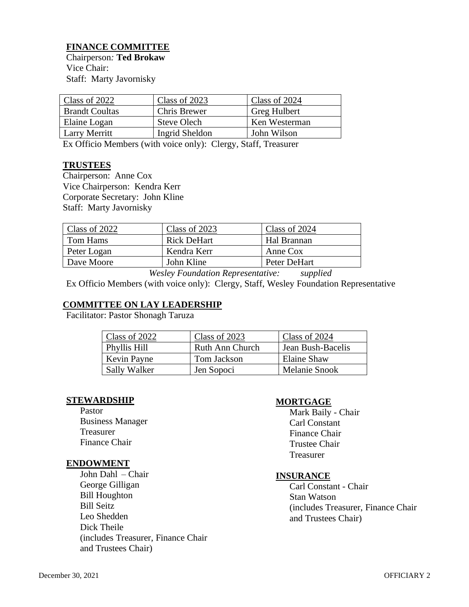# **FINANCE COMMITTEE**

Chairperson*:* **Ted Brokaw** Vice Chair: Staff: Marty Javornisky

| Class of 2022         | Class of 2023         | Class of 2024 |
|-----------------------|-----------------------|---------------|
| <b>Brandt Coultas</b> | Chris Brewer          | Greg Hulbert  |
| Elaine Logan          | <b>Steve Olech</b>    | Ken Westerman |
| Larry Merritt         | <b>Ingrid Sheldon</b> | John Wilson   |
|                       |                       |               |

Ex Officio Members (with voice only): Clergy, Staff, Treasurer

#### **TRUSTEES**

Chairperson: Anne Cox Vice Chairperson: Kendra Kerr Corporate Secretary: John Kline Staff: Marty Javornisky

| Class of 2022 | Class of 2023      | Class of 2024 |
|---------------|--------------------|---------------|
| Tom Hams      | <b>Rick DeHart</b> | Hal Brannan   |
| Peter Logan   | Kendra Kerr        | Anne Cox      |
| Dave Moore    | John Kline         | Peter DeHart  |
|               |                    |               |

*Wesley Foundation Representative: supplied*

Ex Officio Members (with voice only): Clergy, Staff, Wesley Foundation Representative

#### **COMMITTEE ON LAY LEADERSHIP**

Facilitator: Pastor Shonagh Taruza

| Class of 2022       | Class of 2023   | Class of 2024     |
|---------------------|-----------------|-------------------|
| Phyllis Hill        | Ruth Ann Church | Jean Bush-Bacelis |
| Kevin Payne         | Tom Jackson     | Elaine Shaw       |
| <b>Sally Walker</b> | Jen Sopoci      | Melanie Snook     |

#### **STEWARDSHIP**

Pastor Business Manager Treasurer Finance Chair

#### **ENDOWMENT**

John Dahl – Chair George Gilligan Bill Houghton Bill Seitz Leo Shedden Dick Theile (includes Treasurer, Finance Chair and Trustees Chair)

#### **MORTGAGE**

Mark Baily - Chair Carl Constant Finance Chair Trustee Chair Treasurer

#### **INSURANCE**

Carl Constant - Chair Stan Watson (includes Treasurer, Finance Chair and Trustees Chair)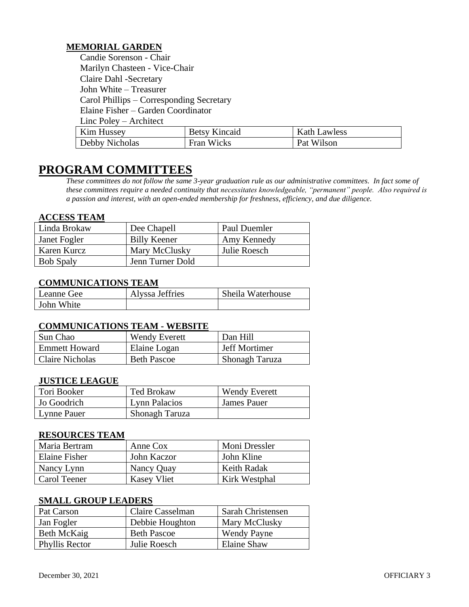# **MEMORIAL GARDEN**

Candie Sorenson - Chair Marilyn Chasteen - Vice-Chair Claire Dahl -Secretary John White – Treasurer Carol Phillips – Corresponding Secretary Elaine Fisher – Garden Coordinator Linc Poley – Architect

| <b>Kim Hussey</b> | <b>Betsy Kincaid</b> | <b>Kath Lawless</b> |
|-------------------|----------------------|---------------------|
| Debby Nicholas    | Fran Wicks           | Pat Wilson          |

# **PROGRAM COMMITTEES**

*These committees do not follow the same 3-year graduation rule as our administrative committees. In fact some of these committees require a needed continuity that necessitates knowledgeable, "permanent" people. Also required is a passion and interest, with an open-ended membership for freshness, efficiency, and due diligence.*

#### **ACCESS TEAM**

| Linda Brokaw     | Dee Chapell         | Paul Duemler |
|------------------|---------------------|--------------|
| Janet Fogler     | <b>Billy Keener</b> | Amy Kennedy  |
| Karen Kurcz      | Mary McClusky       | Julie Roesch |
| <b>Bob Spaly</b> | Jenn Turner Dold    |              |

# **COMMUNICATIONS TEAM**

| Leanne Gee | Alyssa Jeffries | Sheila Waterhouse |
|------------|-----------------|-------------------|
| John White |                 |                   |

#### **COMMUNICATIONS TEAM - WEBSITE**

| Sun Chao             | <b>Wendy Everett</b> | Dan Hill             |
|----------------------|----------------------|----------------------|
| <b>Emmett Howard</b> | Elaine Logan         | <b>Jeff Mortimer</b> |
| Claire Nicholas      | <b>Beth Pascoe</b>   | Shonagh Taruza       |

#### **JUSTICE LEAGUE**

| Tori Booker | <b>Ted Brokaw</b>     | <b>Wendy Everett</b> |
|-------------|-----------------------|----------------------|
| Jo Goodrich | <b>Lynn Palacios</b>  | <b>James Pauer</b>   |
| Lynne Pauer | <b>Shonagh Taruza</b> |                      |

#### **RESOURCES TEAM**

| Maria Bertram | Anne Cox           | Moni Dressler |
|---------------|--------------------|---------------|
| Elaine Fisher | John Kaczor        | John Kline    |
| Nancy Lynn    | Nancy Quay         | Keith Radak   |
| Carol Teener  | <b>Kasey Vliet</b> | Kirk Westphal |

#### **SMALL GROUP LEADERS**

| Pat Carson     | Claire Casselman   | Sarah Christensen  |
|----------------|--------------------|--------------------|
| Jan Fogler     | Debbie Houghton    | Mary McClusky      |
| Beth McKaig    | <b>Beth Pascoe</b> | <b>Wendy Payne</b> |
| Phyllis Rector | Julie Roesch       | Elaine Shaw        |